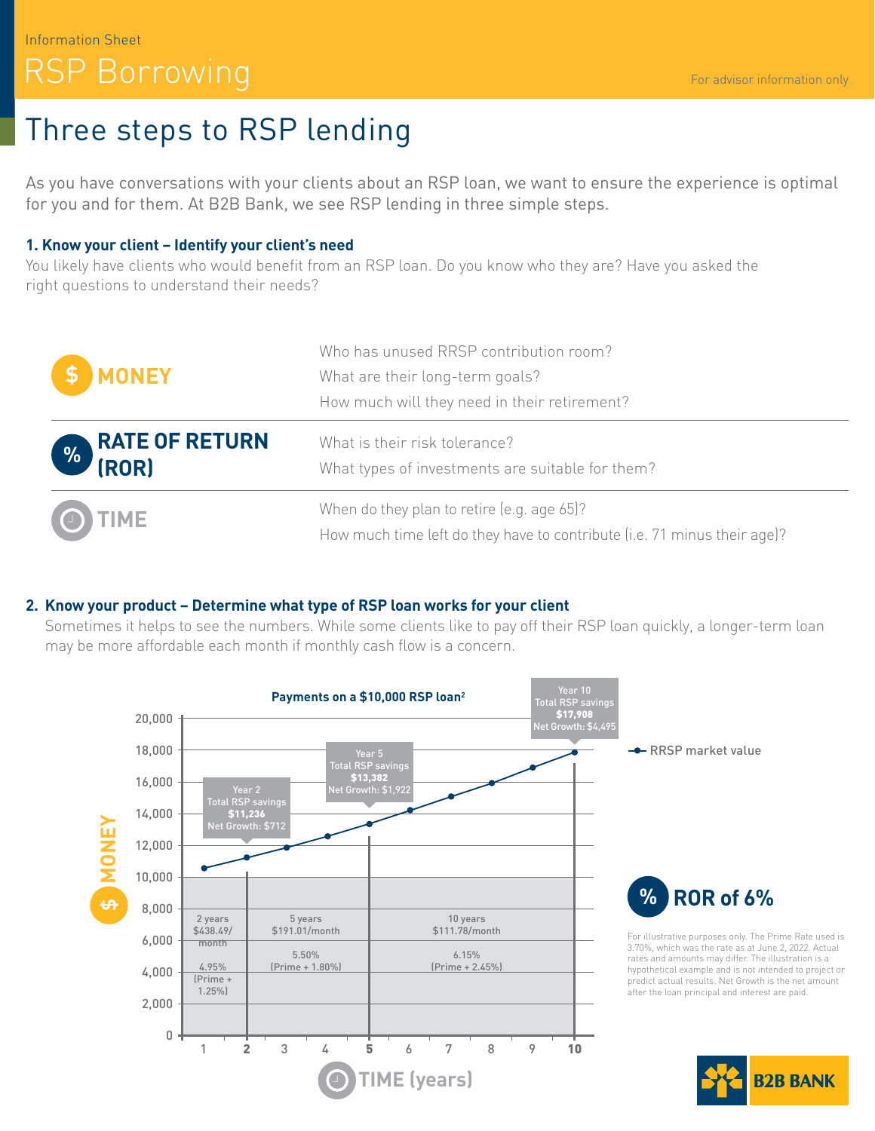# Information Sheet RSP Borrowing

# Three steps to RSP lending

As you have conversations with your clients about an RSP loan, we want to ensure the experience is optimal for you and for them. At B2B Bank, we see RSP lending in three simple steps.

#### **1. Know your client – Identify your client's need**

You likely have clients who would benefit from an RSP loan. Do you know who they are? Have you asked the right questions to understand their needs?

| \$ MONEY                          | Who has unused RRSP contribution room?<br>What are their long-term goals?<br>How much will they need in their retirement? |
|-----------------------------------|---------------------------------------------------------------------------------------------------------------------------|
| <b>EXAMPLE OF RETURN</b><br>(ROR) | What is their risk tolerance?<br>What types of investments are suitable for them?                                         |
| O TIME                            | When do they plan to retire (e.g. age 65)?<br>How much time left do they have to contribute (i.e. 71 minus their age)?    |

### **2. Know your product – Determine what type of RSP loan works for your client**

Sometimes it helps to see the numbers. While some clients like to pay off their RSP loan quickly, a longer-term loan may be more affordable each month if monthly cash flow is a concern.